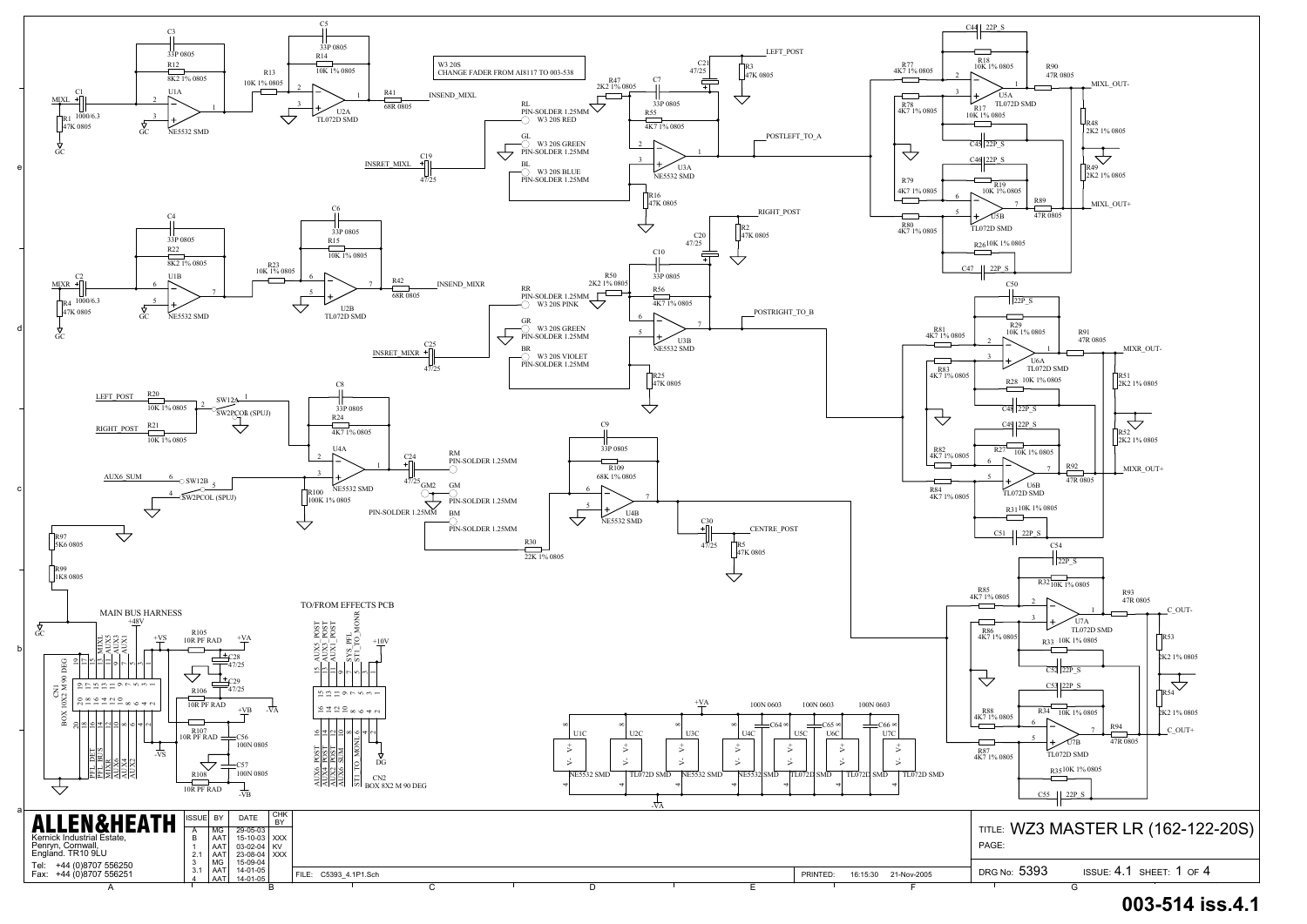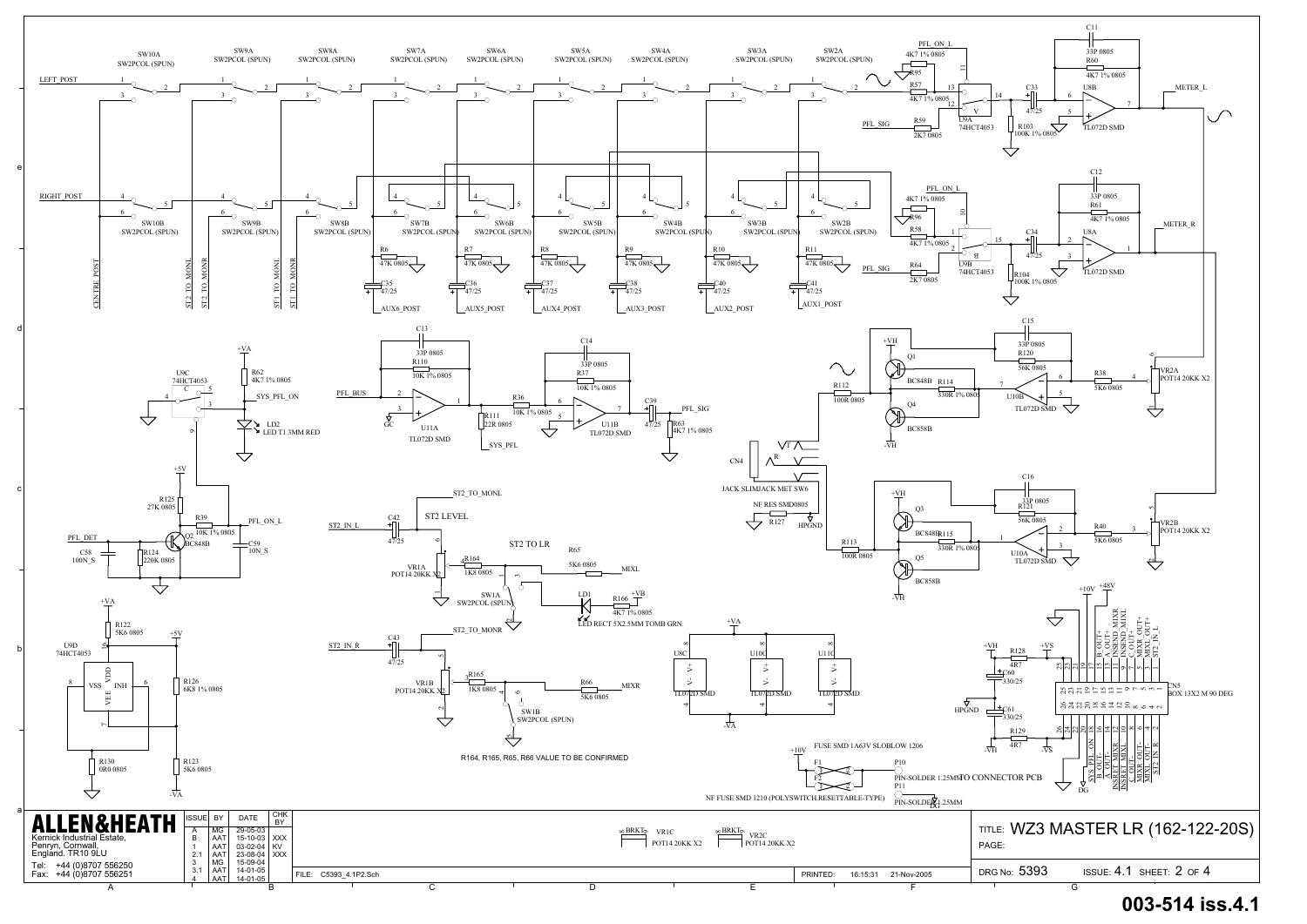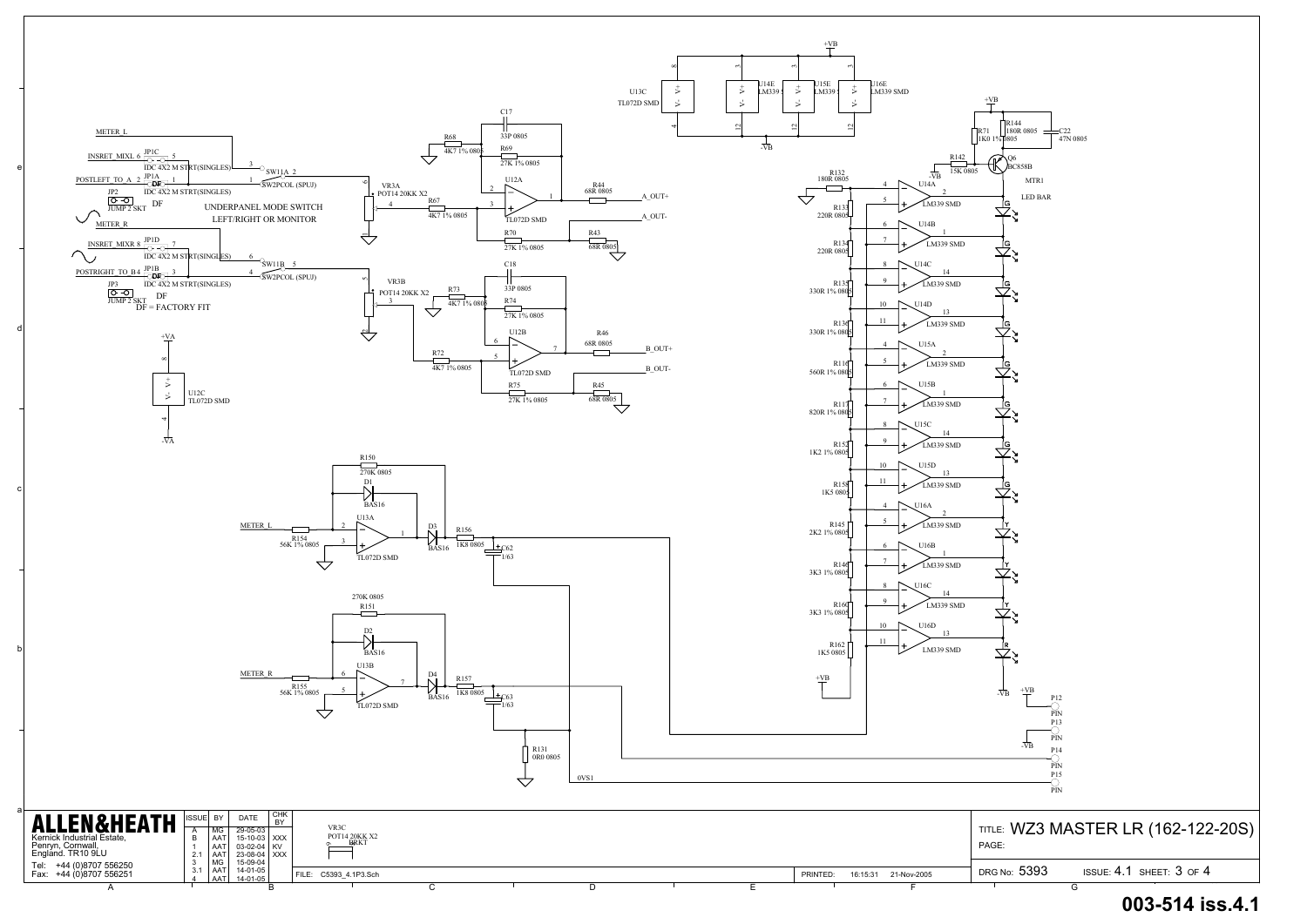

## **003-514 iss.4.1**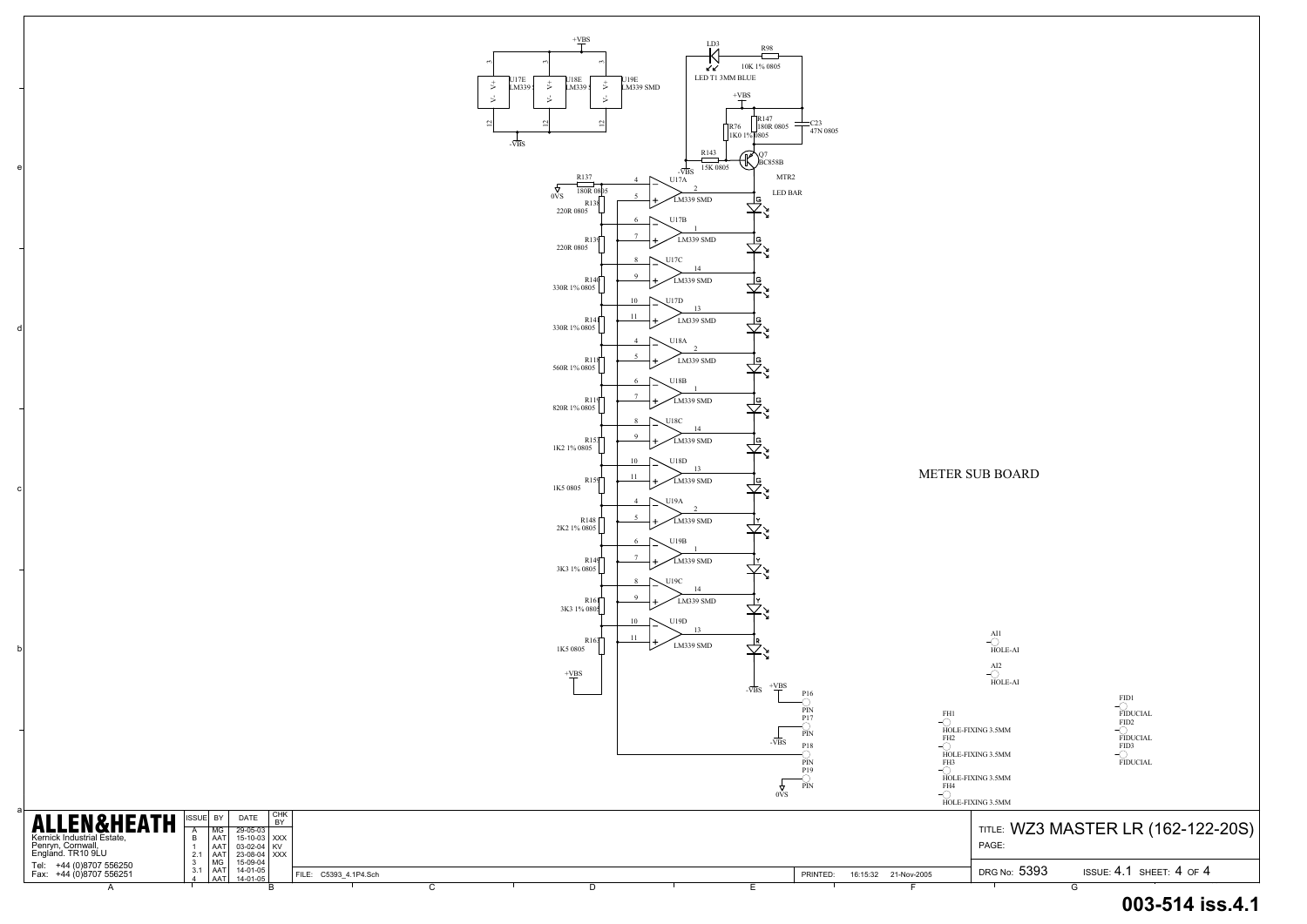| DRG No: 5393 |  | ISSUE: $4.1$ SHEET: $4$ OF $4$ |  |
|--------------|--|--------------------------------|--|
|              |  |                                |  |

a

b

c

d

e



## **003-514 iss.4.1**

FID1

FIDUCIAL FID2

FIDUCIAL FID3 FIDUCIAL